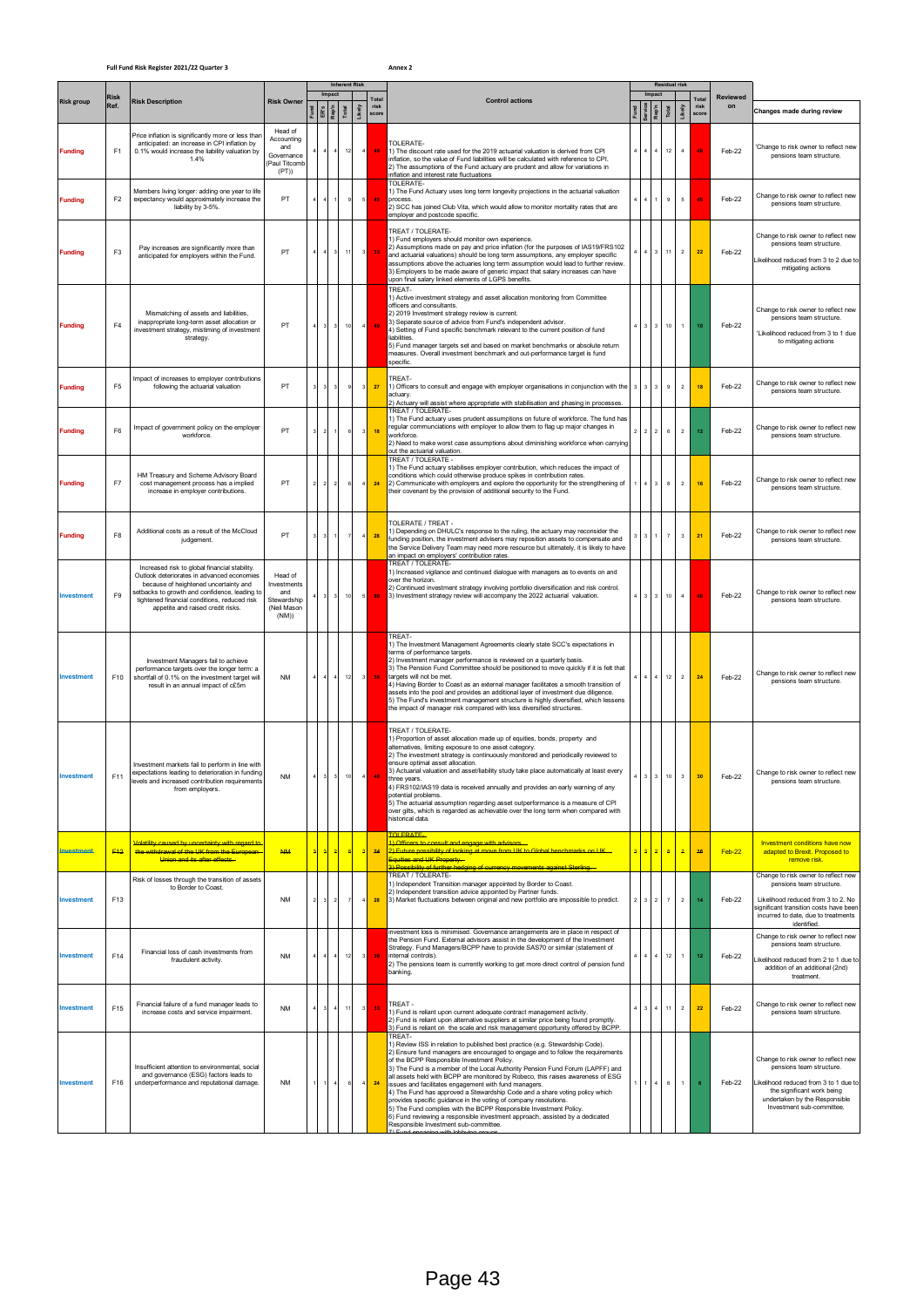## **Full Fund Risk Register 2021/22 Quarter 3 Annex 2**

|                   |                     |                                                                                                                                                                                                                                                                           |                                                                      |                  |                             |                | <b>Inherent Risk</b> |                          |                               |                                                                                                                                                                                                                                                                                                                                                                                                                                                                                                                                                                                                                                                                                                                                                                                                        | <b>Residual risk</b>             |                                   |                          |                |                               |                       |                                                                                                                                                                                                       |
|-------------------|---------------------|---------------------------------------------------------------------------------------------------------------------------------------------------------------------------------------------------------------------------------------------------------------------------|----------------------------------------------------------------------|------------------|-----------------------------|----------------|----------------------|--------------------------|-------------------------------|--------------------------------------------------------------------------------------------------------------------------------------------------------------------------------------------------------------------------------------------------------------------------------------------------------------------------------------------------------------------------------------------------------------------------------------------------------------------------------------------------------------------------------------------------------------------------------------------------------------------------------------------------------------------------------------------------------------------------------------------------------------------------------------------------------|----------------------------------|-----------------------------------|--------------------------|----------------|-------------------------------|-----------------------|-------------------------------------------------------------------------------------------------------------------------------------------------------------------------------------------------------|
| <b>Risk group</b> | <b>Risk</b><br>Ref. | <b>Risk Description</b>                                                                                                                                                                                                                                                   | <b>Risk Owner</b>                                                    |                  | Impact<br>$E$ $\frac{1}{2}$ | Total          | Likely               |                          | Total<br>risk<br><b>SCOre</b> | <b>Control actions</b>                                                                                                                                                                                                                                                                                                                                                                                                                                                                                                                                                                                                                                                                                                                                                                                 |                                  | Impact<br>Rep                     | Total                    | Likely         | Total<br>risk<br><b>score</b> | <b>Reviewed</b><br>on | Changes made during review                                                                                                                                                                            |
| <b>Funding</b>    | F <sub>1</sub>      | Price inflation is significantly more or less than<br>anticipated: an increase in CPI inflation by<br>0.1% would increase the liability valuation by<br>1.4%                                                                                                              | Head of<br>Accounting<br>and<br>Governance<br>(Paul Titcom<br>(PT)   |                  |                             |                | $12$                 | $\sqrt{4}$               | 48                            | TOLERATE-<br>1) The discount rate used for the 2019 actuarial valuation is derived from CPI<br>inflation, so the value of Fund liabilities will be calculated with reference to CPI.<br>2) The assumptions of the Fund actuary are prudent and allow for variations in<br>nflation and interest rate fluctuations                                                                                                                                                                                                                                                                                                                                                                                                                                                                                      | $\overline{4}$                   | $\overline{4}$                    | 12                       | $\overline{4}$ | 48                            | Feb-22                | 'Change to risk owner to reflect new<br>pensions team structure.                                                                                                                                      |
| <b>Funding</b>    | F <sub>2</sub>      | Members living longer: adding one year to life<br>expectancy would approximately increase the<br>liability by 3-5%.                                                                                                                                                       | PT                                                                   |                  |                             |                | ś                    | $\mathsf{s}$             | 45                            | <b>TOLERATE</b><br>I) The Fund Actuary uses long term longevity projections in the actuarial valuation<br>process<br>2) SCC has joined Club Vita, which would allow to monitor mortality rates that are<br>employer and postcode specific.                                                                                                                                                                                                                                                                                                                                                                                                                                                                                                                                                             | $\overline{a}$                   |                                   | $\mathsf g$              | 5              | 45                            | Feb-22                | Change to risk owner to reflect new<br>pensions team structure                                                                                                                                        |
| <b>Funding</b>    | F <sub>3</sub>      | Pay increases are significantly more than<br>anticipated for employers within the Fund.                                                                                                                                                                                   | PT                                                                   | $\boldsymbol{4}$ | $\mathbf{3}$                |                | $11\,$               | $\overline{\phantom{a}}$ | 33                            | TREAT / TOLERATE-<br>1) Fund employers should monitor own experience.<br>2) Assumptions made on pay and price inflation (for the purposes of IAS19/FRS102<br>and actuarial valuations) should be long term assumptions, any employer specific<br>assumptions above the actuaries long term assumption would lead to further review.<br>3) Employers to be made aware of generic impact that salary increases can have<br>upon final salary linked elements of LGPS benefits.                                                                                                                                                                                                                                                                                                                           | $\overline{4}$                   | $\mathbf{3}$                      | $11 -$                   | $\overline{2}$ | 22                            | Feb-22                | Change to risk owner to reflect new<br>pensions team structure.<br>Likelihood reduced from 3 to 2 due to<br>mitigating actions                                                                        |
| <b>Funding</b>    | F <sub>4</sub>      | Mismatching of assets and liabilities,<br>inappropriate long-term asset allocation or<br>investment strategy, mistiming of investment<br>strategy.                                                                                                                        | PT                                                                   | $\mathbf{3}$     | 3                           |                | $10$                 | $\sqrt{4}$               | 40                            | <b>TREAT-</b><br>() Active investment strategy and asset allocation monitoring from Committee<br>officers and consultants<br>2) 2019 Investment strategy review is current.<br>3) Separate source of advice from Fund's independent advisor.<br>4) Setting of Fund specific benchmark relevant to the current position of fund<br>liabilities<br>5) Fund manager targets set and based on market benchmarks or absolute return<br>measures. Overall investment benchmark and out-performance target is fund<br>specific.                                                                                                                                                                                                                                                                               | $\mathbf 3$                      | $\mathbf 3$                       |                          | $10$   1       | $10\,$                        | Feb-22                | Change to risk owner to reflect new<br>pensions team structure.<br>'Likelihood reduced from 3 to 1 due<br>to mitigating actions                                                                       |
| <b>Funding</b>    | F <sub>5</sub>      | Impact of increases to employer contributions<br>following the actuarial valuation                                                                                                                                                                                        | PT                                                                   |                  |                             | -S             |                      | 3                        | 27                            | TREAT-<br>1) Officers to consult and engage with employer organisations in conjunction with the<br>actuary.<br>2) Actuary will assist where appropriate with stabilisation and phasing in processes                                                                                                                                                                                                                                                                                                                                                                                                                                                                                                                                                                                                    | 3                                | 3                                 | $\overline{9}$           | $\overline{2}$ | 18                            | Feb-22                | Change to risk owner to reflect new<br>pensions team structure.                                                                                                                                       |
| <b>Funding</b>    | F <sub>6</sub>      | Impact of government policy on the employer<br>workforce                                                                                                                                                                                                                  | PT                                                                   |                  |                             | $\epsilon$     |                      | $\mathsf 3$              | 18                            | <b>FREAT / TOLERATE-</b><br>1) The Fund actuary uses prudent assumptions on future of workforce. The fund has<br>regular communciations with employer to allow them to flag up major changes in<br>workforce.<br>2) Need to make worst case assumptions about diminishing workforce when carrying<br>out the actuarial valuation.                                                                                                                                                                                                                                                                                                                                                                                                                                                                      | $\mathfrak{p}$<br>$\overline{2}$ | $\overline{2}$                    | $\mathbf 6$              | $\overline{2}$ | 12                            | Feb-22                | Change to risk owner to reflect new<br>pensions team structure                                                                                                                                        |
| <b>Funding</b>    | F7                  | HM Treasury and Scheme Advisory Board<br>cost management process has a implied<br>increase in employer contributions.                                                                                                                                                     | PT                                                                   |                  |                             | $\epsilon$     |                      | $\boldsymbol{4}$         | 24                            | <b>TREAT / TOLERATE -</b><br>1) The Fund actuary stabilises employer contribution, which reduces the impact of<br>conditions which could otherwise produce spikes in contribution rates.<br>2) Communicate with employers and explore the opportunity for the strengthening of<br>their covenant by the provision of additional security to the Fund.                                                                                                                                                                                                                                                                                                                                                                                                                                                  | 4                                | 3                                 | 8                        | $\,$ 2 $\,$    | 16                            | Feb-22                | Change to risk owner to reflect new<br>pensions team structure.                                                                                                                                       |
| <b>Funding</b>    | F <sub>8</sub>      | Additional costs as a result of the McCloud<br>judgement.                                                                                                                                                                                                                 | PT                                                                   |                  |                             | -7             |                      | $\overline{4}$           | 28                            | TOLERATE / TREAT -<br>1) Depending on DHULC's response to the ruling, the actuary may reconsider the<br>funding position, the investment advisers may reposition assets to compensate and<br>the Service Delivery Team may need more resource but ultimately, it is likely to have<br>an impact on employers' contribution rates.                                                                                                                                                                                                                                                                                                                                                                                                                                                                      | 3                                |                                   | $\overline{7}$           | 3              | 21                            | Feb-22                | Change to risk owner to reflect new<br>pensions team structure.                                                                                                                                       |
| Investment        | F9                  | Increased risk to global financial stability.<br>Outlook deteriorates in advanced economies<br>because of heightened uncertainty and<br>etbacks to growth and confidence, leading to<br>tightened financial conditions, reduced risk<br>appetite and raised credit risks. | Head of<br>Investments<br>and<br>Stewardship<br>(Neil Masor<br>(NM)) |                  |                             |                | $10\,$               | 5 <sub>l</sub>           | 50                            | TREAT / TOLERATE-<br>I) Increased vigilance and continued dialogue with managers as to events on and<br>over the horizon.<br>2) Continued investment strategy involving portfolio diversification and risk control.<br>3) Investment strategy review will accompany the 2022 actuarial valuation.                                                                                                                                                                                                                                                                                                                                                                                                                                                                                                      | $\overline{\mathbf{3}}$          |                                   | $3 - 10$                 | 4              | 40                            | Feb-22                | Change to risk owner to reflect new<br>pensions team structure.                                                                                                                                       |
| <b>Investment</b> | F10                 | Investment Managers fail to achieve<br>performance targets over the longer term: a<br>shortfall of 0.1% on the investment target will<br>result in an annual impact of c£5m                                                                                               | <b>NM</b>                                                            |                  | 4 <sub>1</sub>              |                | 12                   | $\overline{\phantom{a}}$ | 36                            | TREAT-<br>1) The Investment Management Agreements clearly state SCC's expectations in<br>terms of performance targets.<br>2) Investment manager performance is reviewed on a quarterly basis.<br>3) The Pension Fund Committee should be positioned to move quickly if it is felt that<br>targets will not be met.<br>4) Having Border to Coast as an external manager facilitates a smooth transition of<br>assets into the pool and provides an additional layer of investment due diligence.<br>5) The Fund's investment management structure is highly diversified, which lessens<br>the impact of manager risk compared with less diversified structures.                                                                                                                                         |                                  | $\overline{4}$                    | 12                       | $\overline{2}$ | 24                            | Feb-22                | Change to risk owner to reflect new<br>pensions team structure.                                                                                                                                       |
|                   | F11                 | Investment markets fail to perform in line with<br>expectations leading to deterioration in funding<br>levels and increased contribution requirements<br>from employers.                                                                                                  | <b>NM</b>                                                            |                  |                             |                |                      |                          |                               | <b>TREAT / TOLERATE-</b><br>1) Proportion of asset allocation made up of equities, bonds, property and<br>alternatives, limiting exposure to one asset category.<br>2) The investment strategy is continuously monitored and periodically reviewed to<br>ensure optimal asset allocation.<br>3) Actuarial valuation and asset/liability study take place automatically at least every<br>hree years.<br>4) FRS102/IAS19 data is received annually and provides an early warning of any<br>potential problems.<br>5) The actuarial assumption regarding asset outperformance is a measure of CPI<br>over gilts, which is regarded as achievable over the long term when compared with<br>historical data.                                                                                               |                                  |                                   |                          |                |                               | Feb-22                | Change to risk owner to reflect new<br>pensions team structure.                                                                                                                                       |
| Investment        | F <sub>12</sub>     | <mark>Volatility caused by uncertainty with regard to</mark><br>the withdrawal of the UK from the European<br><b>Linion and its after effects</b>                                                                                                                         | <b>NM</b>                                                            |                  | 2                           |                | -g                   | a.                       | 24                            | <b>TOLERATE-</b><br>I) Officers to consult and engage with advisors<br><mark>2) Future possibility of looking at move from UK to Global benchmarks on UK—</mark><br>Equities and UK Property                                                                                                                                                                                                                                                                                                                                                                                                                                                                                                                                                                                                           | $\overline{a}$                   | $\overline{a}$                    | $\mathbf{3}$             | $\overline{2}$ | 46                            | Feb-22                | Investment conditions have now<br>adapted to Brexit. Proposed to<br>remove risk                                                                                                                       |
| Investment        | F13                 | Risk of losses through the transition of assets<br>to Border to Coast.                                                                                                                                                                                                    | NM                                                                   |                  | $\overline{2}$              | $\overline{7}$ |                      |                          | 28                            | <b>) Possibility of further hedging of currency movements against Sterling.</b><br>TREAT / TOLERATE-<br>I) Independent Transition manager appointed by Border to Coast.<br>2) Independent transition advice appointed by Partner funds.<br>3) Market fluctuations between original and new portfolio are impossible to predict.                                                                                                                                                                                                                                                                                                                                                                                                                                                                        | $\sqrt{2}$<br>3                  | $\overline{2}$                    | $\overline{\phantom{a}}$ | $\overline{2}$ | 14                            | Feb-22                | Change to risk owner to reflect new<br>pensions team structure.<br>Likelihood reduced from 3 to 2. No<br>significant transition costs have been<br>incurred to date, due to treatments<br>identified. |
| Investment        | F14                 | Financial loss of cash investments from<br>fraudulent activity.                                                                                                                                                                                                           | NM                                                                   |                  |                             |                | $12$                 | $\overline{\mathbf{3}}$  | 36                            | investment loss is minimised. Governance arrangements are in place in respect of<br>the Pension Fund. External advisors assist in the development of the Investment<br>Strategy. Fund Managers/BCPP have to provide SAS70 or similar (statement of<br>internal controls).<br>2) The pensions team is currently working to get more direct control of pension fund<br>oanking.                                                                                                                                                                                                                                                                                                                                                                                                                          |                                  | $\overline{\phantom{a}}$<br>$4\,$ | 12 <sub>2</sub>          | $\mathbf{1}$   | $12$                          | Feb-22                | Change to risk owner to reflect new<br>pensions team structure.<br>ikelihood reduced from 2 to 1 due to<br>addition of an additional (2nd)<br>treatment.                                              |
| Investment        | F <sub>15</sub>     | Financial failure of a fund manager leads to<br>increase costs and service impairment.                                                                                                                                                                                    | NM                                                                   |                  |                             |                | 11                   | $\overline{\phantom{a}}$ | 33                            | TREAT-<br>1) Fund is reliant upon current adequate contract management activity.<br>2) Fund is reliant upon alternative suppliers at similar price being found promptly.<br>) Fund is reliant on the scale and risk management opportunity offered by BCPP.                                                                                                                                                                                                                                                                                                                                                                                                                                                                                                                                            | $\overline{\mathbf{3}}$          | $\overline{a}$                    | 11                       | $\overline{2}$ | 22                            | Feb-22                | Change to risk owner to reflect new<br>pensions team structure.                                                                                                                                       |
| Investment        | F16                 | Insufficient attention to environmental, social<br>and governance (ESG) factors leads to<br>underperformance and reputational damage.                                                                                                                                     | <b>NM</b>                                                            |                  |                             |                | $\epsilon$           | $\bf{4}$                 | 24                            | TREAT-<br>1) Review ISS in relation to published best practice (e.g. Stewardship Code).<br>2) Ensure fund managers are encouraged to engage and to follow the requirements<br>of the BCPP Responsible Investment Policy.<br>3) The Fund is a member of the Local Authority Pension Fund Forum (LAPFF) and<br>all assets held with BCPP are monitored by Robeco, this raises awareness of ESG<br>issues and facilitates engagement with fund managers.<br>4) The Fund has approved a Stewardship Code and a share voting policy which<br>provides specific quidance in the voting of company resolutions.<br>5) The Fund complies with the BCPP Responsible Investment Policy.<br>5) Fund reviewing a responsible investment approach, assisted by a dedicated<br>Responsible Investment sub-committee. | $\mathbf{1}$                     | $\overline{a}$                    | 6                        | $\overline{1}$ |                               | Feb-22                | Change to risk owner to reflect new<br>pensions team structure.<br>Likelihood reduced from 3 to 1 due to<br>the significant work being<br>undertaken by the Responsible<br>Investment sub-committee.  |